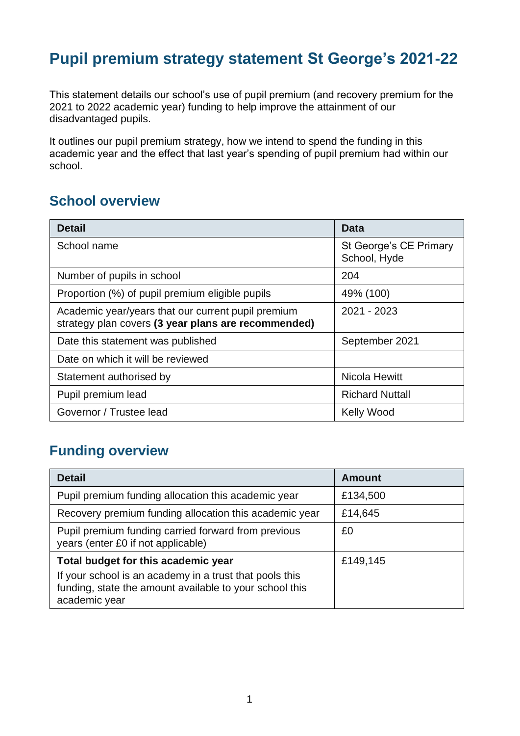# **Pupil premium strategy statement St George's 2021-22**

This statement details our school's use of pupil premium (and recovery premium for the 2021 to 2022 academic year) funding to help improve the attainment of our disadvantaged pupils.

It outlines our pupil premium strategy, how we intend to spend the funding in this academic year and the effect that last year's spending of pupil premium had within our school.

### **School overview**

| <b>Detail</b>                                                                                             | <b>Data</b>                            |
|-----------------------------------------------------------------------------------------------------------|----------------------------------------|
| School name                                                                                               | St George's CE Primary<br>School, Hyde |
| Number of pupils in school                                                                                | 204                                    |
| Proportion (%) of pupil premium eligible pupils                                                           | 49% (100)                              |
| Academic year/years that our current pupil premium<br>strategy plan covers (3 year plans are recommended) | 2021 - 2023                            |
| Date this statement was published                                                                         | September 2021                         |
| Date on which it will be reviewed                                                                         |                                        |
| Statement authorised by                                                                                   | Nicola Hewitt                          |
| Pupil premium lead                                                                                        | <b>Richard Nuttall</b>                 |
| Governor / Trustee lead                                                                                   | <b>Kelly Wood</b>                      |

## **Funding overview**

| <b>Detail</b>                                                                                                                                                              | <b>Amount</b> |
|----------------------------------------------------------------------------------------------------------------------------------------------------------------------------|---------------|
| Pupil premium funding allocation this academic year                                                                                                                        | £134,500      |
| Recovery premium funding allocation this academic year                                                                                                                     | £14,645       |
| Pupil premium funding carried forward from previous<br>years (enter £0 if not applicable)                                                                                  | £0            |
| Total budget for this academic year<br>If your school is an academy in a trust that pools this<br>funding, state the amount available to your school this<br>academic year | £149,145      |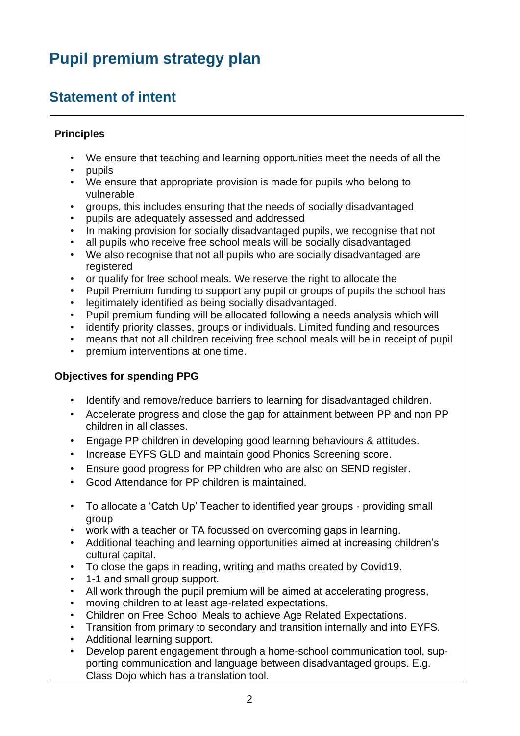# **Pupil premium strategy plan**

## **Statement of intent**

#### **Principles**

- We ensure that teaching and learning opportunities meet the needs of all the
- pupils
- We ensure that appropriate provision is made for pupils who belong to vulnerable
- groups, this includes ensuring that the needs of socially disadvantaged
- pupils are adequately assessed and addressed
- In making provision for socially disadvantaged pupils, we recognise that not
- all pupils who receive free school meals will be socially disadvantaged
- We also recognise that not all pupils who are socially disadvantaged are registered
- or qualify for free school meals. We reserve the right to allocate the
- Pupil Premium funding to support any pupil or groups of pupils the school has
- legitimately identified as being socially disadvantaged.
- Pupil premium funding will be allocated following a needs analysis which will
- identify priority classes, groups or individuals. Limited funding and resources
- means that not all children receiving free school meals will be in receipt of pupil
- premium interventions at one time.

#### **Objectives for spending PPG**

- Identify and remove/reduce barriers to learning for disadvantaged children.
- Accelerate progress and close the gap for attainment between PP and non PP children in all classes.
- Engage PP children in developing good learning behaviours & attitudes.
- Increase EYFS GLD and maintain good Phonics Screening score.
- Ensure good progress for PP children who are also on SEND register.
- Good Attendance for PP children is maintained.
- To allocate a 'Catch Up' Teacher to identified year groups providing small group
- work with a teacher or TA focussed on overcoming gaps in learning.
- Additional teaching and learning opportunities aimed at increasing children's cultural capital.
- To close the gaps in reading, writing and maths created by Covid19.
- 1-1 and small group support.
- All work through the pupil premium will be aimed at accelerating progress,
- moving children to at least age-related expectations.
- Children on Free School Meals to achieve Age Related Expectations.
- Transition from primary to secondary and transition internally and into EYFS.
- Additional learning support.
- Develop parent engagement through a home-school communication tool, supporting communication and language between disadvantaged groups. E.g. Class Dojo which has a translation tool.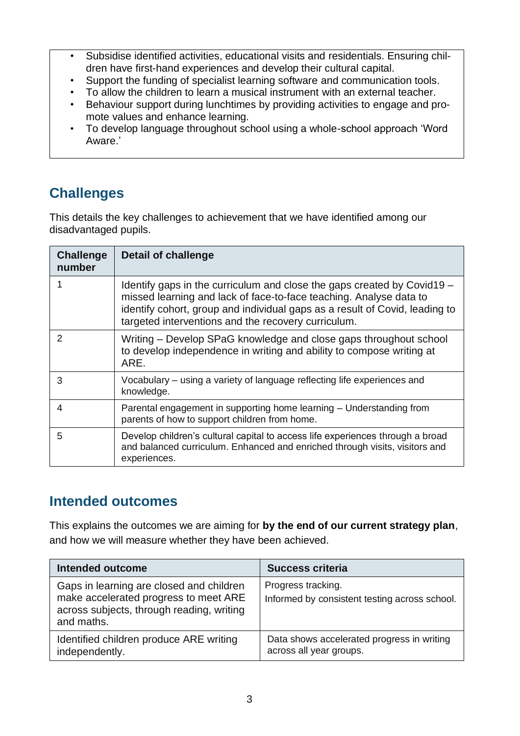- Subsidise identified activities, educational visits and residentials. Ensuring children have first-hand experiences and develop their cultural capital.
- Support the funding of specialist learning software and communication tools.
- To allow the children to learn a musical instrument with an external teacher.
- Behaviour support during lunchtimes by providing activities to engage and promote values and enhance learning.
- To develop language throughout school using a whole-school approach 'Word Aware.'

# **Challenges**

This details the key challenges to achievement that we have identified among our disadvantaged pupils.

| <b>Challenge</b><br>number | <b>Detail of challenge</b>                                                                                                                                                                                                                                                          |
|----------------------------|-------------------------------------------------------------------------------------------------------------------------------------------------------------------------------------------------------------------------------------------------------------------------------------|
|                            | Identify gaps in the curriculum and close the gaps created by Covid19 –<br>missed learning and lack of face-to-face teaching. Analyse data to<br>identify cohort, group and individual gaps as a result of Covid, leading to<br>targeted interventions and the recovery curriculum. |
| $\mathcal{P}$              | Writing - Develop SPaG knowledge and close gaps throughout school<br>to develop independence in writing and ability to compose writing at<br>ARE.                                                                                                                                   |
| 3                          | Vocabulary – using a variety of language reflecting life experiences and<br>knowledge.                                                                                                                                                                                              |
| 4                          | Parental engagement in supporting home learning - Understanding from<br>parents of how to support children from home.                                                                                                                                                               |
| 5                          | Develop children's cultural capital to access life experiences through a broad<br>and balanced curriculum. Enhanced and enriched through visits, visitors and<br>experiences.                                                                                                       |

## **Intended outcomes**

This explains the outcomes we are aiming for **by the end of our current strategy plan**, and how we will measure whether they have been achieved.

| <b>Intended outcome</b>                                                                                                                      | <b>Success criteria</b>                                               |
|----------------------------------------------------------------------------------------------------------------------------------------------|-----------------------------------------------------------------------|
| Gaps in learning are closed and children<br>make accelerated progress to meet ARE<br>across subjects, through reading, writing<br>and maths. | Progress tracking.<br>Informed by consistent testing across school.   |
| Identified children produce ARE writing<br>independently.                                                                                    | Data shows accelerated progress in writing<br>across all year groups. |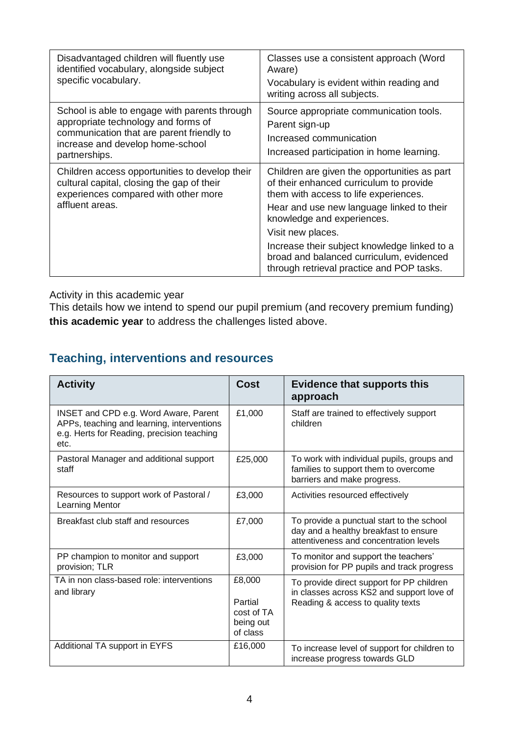| Disadvantaged children will fluently use<br>identified vocabulary, alongside subject<br>specific vocabulary.                                                                           | Classes use a consistent approach (Word<br>Aware)<br>Vocabulary is evident within reading and<br>writing across all subjects.                                                                                                    |
|----------------------------------------------------------------------------------------------------------------------------------------------------------------------------------------|----------------------------------------------------------------------------------------------------------------------------------------------------------------------------------------------------------------------------------|
| School is able to engage with parents through<br>appropriate technology and forms of<br>communication that are parent friendly to<br>increase and develop home-school<br>partnerships. | Source appropriate communication tools.<br>Parent sign-up<br>Increased communication<br>Increased participation in home learning.                                                                                                |
| Children access opportunities to develop their<br>cultural capital, closing the gap of their<br>experiences compared with other more<br>affluent areas.                                | Children are given the opportunities as part<br>of their enhanced curriculum to provide<br>them with access to life experiences.<br>Hear and use new language linked to their<br>knowledge and experiences.<br>Visit new places. |
|                                                                                                                                                                                        | Increase their subject knowledge linked to a<br>broad and balanced curriculum, evidenced<br>through retrieval practice and POP tasks.                                                                                            |

Activity in this academic year

This details how we intend to spend our pupil premium (and recovery premium funding) **this academic year** to address the challenges listed above.

### **Teaching, interventions and resources**

| <b>Activity</b>                                                                                                                                  | <b>Cost</b>                                              | <b>Evidence that supports this</b><br>approach                                                                               |
|--------------------------------------------------------------------------------------------------------------------------------------------------|----------------------------------------------------------|------------------------------------------------------------------------------------------------------------------------------|
| <b>INSET and CPD e.g. Word Aware, Parent</b><br>APPs, teaching and learning, interventions<br>e.g. Herts for Reading, precision teaching<br>etc. | £1,000                                                   | Staff are trained to effectively support<br>children                                                                         |
| Pastoral Manager and additional support<br>staff                                                                                                 | £25,000                                                  | To work with individual pupils, groups and<br>families to support them to overcome<br>barriers and make progress.            |
| Resources to support work of Pastoral /<br><b>Learning Mentor</b>                                                                                | £3,000                                                   | Activities resourced effectively                                                                                             |
| Breakfast club staff and resources                                                                                                               | £7,000                                                   | To provide a punctual start to the school<br>day and a healthy breakfast to ensure<br>attentiveness and concentration levels |
| PP champion to monitor and support<br>provision; TLR                                                                                             | £3,000                                                   | To monitor and support the teachers'<br>provision for PP pupils and track progress                                           |
| TA in non class-based role: interventions<br>and library                                                                                         | £8,000<br>Partial<br>cost of TA<br>being out<br>of class | To provide direct support for PP children<br>in classes across KS2 and support love of<br>Reading & access to quality texts  |
| Additional TA support in EYFS                                                                                                                    | £16,000                                                  | To increase level of support for children to<br>increase progress towards GLD                                                |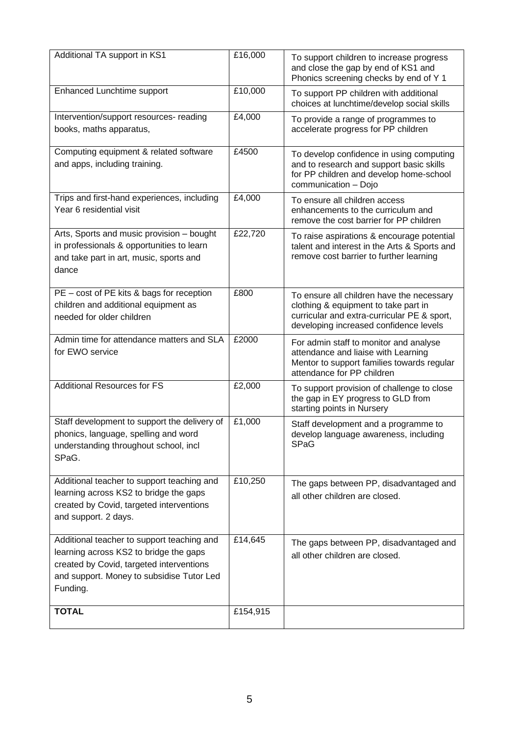| Additional TA support in KS1                                                                                                                                                              | £16,000  | To support children to increase progress<br>and close the gap by end of KS1 and<br>Phonics screening checks by end of Y 1                                                  |
|-------------------------------------------------------------------------------------------------------------------------------------------------------------------------------------------|----------|----------------------------------------------------------------------------------------------------------------------------------------------------------------------------|
| Enhanced Lunchtime support                                                                                                                                                                | £10,000  | To support PP children with additional<br>choices at lunchtime/develop social skills                                                                                       |
| Intervention/support resources- reading<br>books, maths apparatus,                                                                                                                        | £4,000   | To provide a range of programmes to<br>accelerate progress for PP children                                                                                                 |
| Computing equipment & related software<br>and apps, including training.                                                                                                                   | £4500    | To develop confidence in using computing<br>and to research and support basic skills<br>for PP children and develop home-school<br>communication - Dojo                    |
| Trips and first-hand experiences, including<br>Year 6 residential visit                                                                                                                   | £4,000   | To ensure all children access<br>enhancements to the curriculum and<br>remove the cost barrier for PP children                                                             |
| Arts, Sports and music provision - bought<br>in professionals & opportunities to learn<br>and take part in art, music, sports and<br>dance                                                | £22,720  | To raise aspirations & encourage potential<br>talent and interest in the Arts & Sports and<br>remove cost barrier to further learning                                      |
| PE - cost of PE kits & bags for reception<br>children and additional equipment as<br>needed for older children                                                                            | £800     | To ensure all children have the necessary<br>clothing & equipment to take part in<br>curricular and extra-curricular PE & sport,<br>developing increased confidence levels |
| Admin time for attendance matters and SLA<br>for EWO service                                                                                                                              | £2000    | For admin staff to monitor and analyse<br>attendance and liaise with Learning<br>Mentor to support families towards regular<br>attendance for PP children                  |
| <b>Additional Resources for FS</b>                                                                                                                                                        | £2,000   | To support provision of challenge to close<br>the gap in EY progress to GLD from<br>starting points in Nursery                                                             |
| Staff development to support the delivery of<br>phonics, language, spelling and word<br>understanding throughout school, incl<br>SPaG.                                                    | £1,000   | Staff development and a programme to<br>develop language awareness, including<br><b>SPaG</b>                                                                               |
| Additional teacher to support teaching and<br>learning across KS2 to bridge the gaps<br>created by Covid, targeted interventions<br>and support. 2 days.                                  | £10,250  | The gaps between PP, disadvantaged and<br>all other children are closed.                                                                                                   |
| Additional teacher to support teaching and<br>learning across KS2 to bridge the gaps<br>created by Covid, targeted interventions<br>and support. Money to subsidise Tutor Led<br>Funding. | £14,645  | The gaps between PP, disadvantaged and<br>all other children are closed.                                                                                                   |
| <b>TOTAL</b>                                                                                                                                                                              | £154,915 |                                                                                                                                                                            |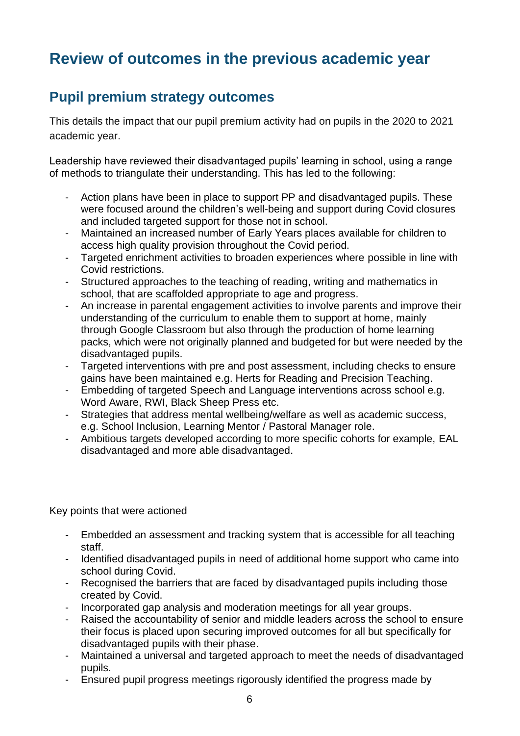# **Review of outcomes in the previous academic year**

## **Pupil premium strategy outcomes**

This details the impact that our pupil premium activity had on pupils in the 2020 to 2021 academic year.

Leadership have reviewed their disadvantaged pupils' learning in school, using a range of methods to triangulate their understanding. This has led to the following:

- Action plans have been in place to support PP and disadvantaged pupils. These were focused around the children's well-being and support during Covid closures and included targeted support for those not in school.
- Maintained an increased number of Early Years places available for children to access high quality provision throughout the Covid period.
- Targeted enrichment activities to broaden experiences where possible in line with Covid restrictions.
- Structured approaches to the teaching of reading, writing and mathematics in school, that are scaffolded appropriate to age and progress.
- An increase in parental engagement activities to involve parents and improve their understanding of the curriculum to enable them to support at home, mainly through Google Classroom but also through the production of home learning packs, which were not originally planned and budgeted for but were needed by the disadvantaged pupils.
- Targeted interventions with pre and post assessment, including checks to ensure gains have been maintained e.g. Herts for Reading and Precision Teaching.
- Embedding of targeted Speech and Language interventions across school e.g. Word Aware, RWI, Black Sheep Press etc.
- Strategies that address mental wellbeing/welfare as well as academic success, e.g. School Inclusion, Learning Mentor / Pastoral Manager role.
- Ambitious targets developed according to more specific cohorts for example, EAL disadvantaged and more able disadvantaged.

Key points that were actioned

- Embedded an assessment and tracking system that is accessible for all teaching staff.
- Identified disadvantaged pupils in need of additional home support who came into school during Covid.
- Recognised the barriers that are faced by disadvantaged pupils including those created by Covid.
- Incorporated gap analysis and moderation meetings for all year groups.
- Raised the accountability of senior and middle leaders across the school to ensure their focus is placed upon securing improved outcomes for all but specifically for disadvantaged pupils with their phase.
- Maintained a universal and targeted approach to meet the needs of disadvantaged pupils.
- Ensured pupil progress meetings rigorously identified the progress made by